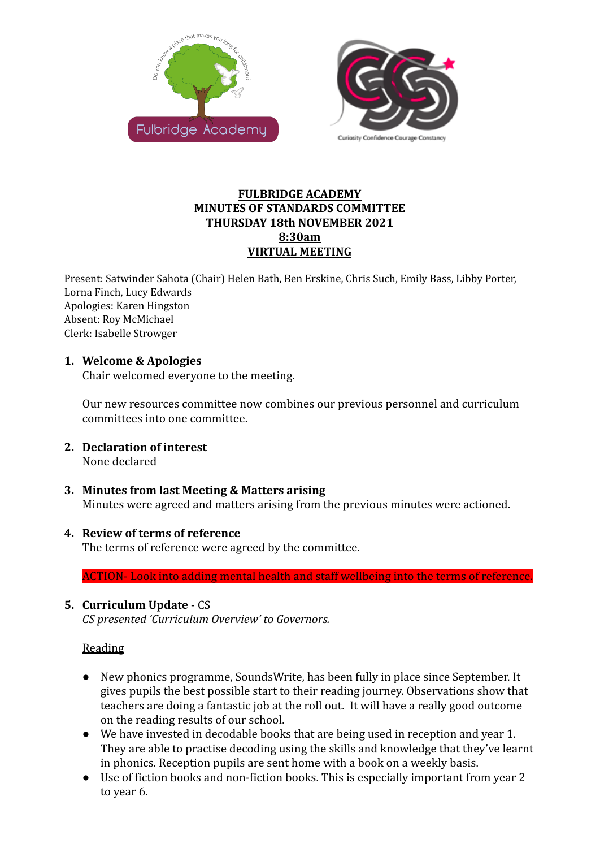



## **FULBRIDGE ACADEMY MINUTES OF STANDARDS COMMITTEE THURSDAY 18th NOVEMBER 2021 8:30am VIRTUAL MEETING**

Present: Satwinder Sahota (Chair) Helen Bath, Ben Erskine, Chris Such, Emily Bass, Libby Porter, Lorna Finch, Lucy Edwards Apologies: Karen Hingston Absent: Roy McMichael Clerk: Isabelle Strowger

# **1. Welcome & Apologies**

Chair welcomed everyone to the meeting.

Our new resources committee now combines our previous personnel and curriculum committees into one committee.

- **2. Declaration of interest** None declared
- **3. Minutes from last Meeting & Matters arising** Minutes were agreed and matters arising from the previous minutes were actioned.

## **4. Review of terms of reference**

The terms of reference were agreed by the committee.

ACTION- Look into adding mental health and staff wellbeing into the terms of reference.

# **5. Curriculum Update -** CS

*CS presented 'Curriculum Overview' to Governors.*

## **Reading**

- New phonics programme, SoundsWrite, has been fully in place since September. It gives pupils the best possible start to their reading journey. Observations show that teachers are doing a fantastic job at the roll out. It will have a really good outcome on the reading results of our school.
- We have invested in decodable books that are being used in reception and year 1. They are able to practise decoding using the skills and knowledge that they've learnt in phonics. Reception pupils are sent home with a book on a weekly basis.
- Use of fiction books and non-fiction books. This is especially important from year 2 to year 6.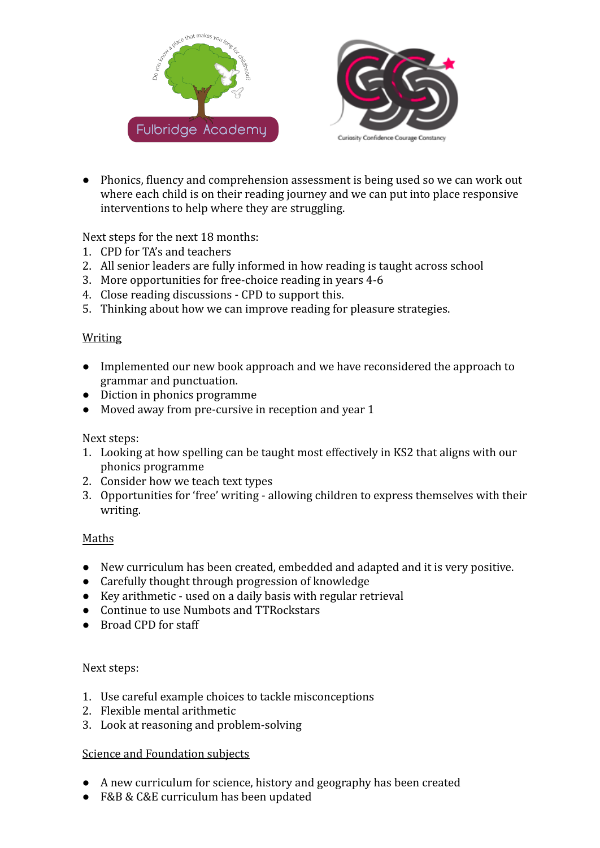



● Phonics, fluency and comprehension assessment is being used so we can work out where each child is on their reading journey and we can put into place responsive interventions to help where they are struggling.

Next steps for the next 18 months:

- 1. CPD for TA's and teachers
- 2. All senior leaders are fully informed in how reading is taught across school
- 3. More opportunities for free-choice reading in years 4-6
- 4. Close reading discussions CPD to support this.
- 5. Thinking about how we can improve reading for pleasure strategies.

#### Writing

- Implemented our new book approach and we have reconsidered the approach to grammar and punctuation.
- Diction in phonics programme
- Moved away from pre-cursive in reception and year 1

## Next steps:

- 1. Looking at how spelling can be taught most effectively in KS2 that aligns with our phonics programme
- 2. Consider how we teach text types
- 3. Opportunities for 'free' writing allowing children to express themselves with their writing.

## Maths

- New curriculum has been created, embedded and adapted and it is very positive.
- Carefully thought through progression of knowledge
- Key arithmetic used on a daily basis with regular retrieval
- Continue to use Numbots and TTRockstars
- Broad CPD for staff

## Next steps:

- 1. Use careful example choices to tackle misconceptions
- 2. Flexible mental arithmetic
- 3. Look at reasoning and problem-solving

## Science and Foundation subjects

- A new curriculum for science, history and geography has been created
- F&B & C&E curriculum has been updated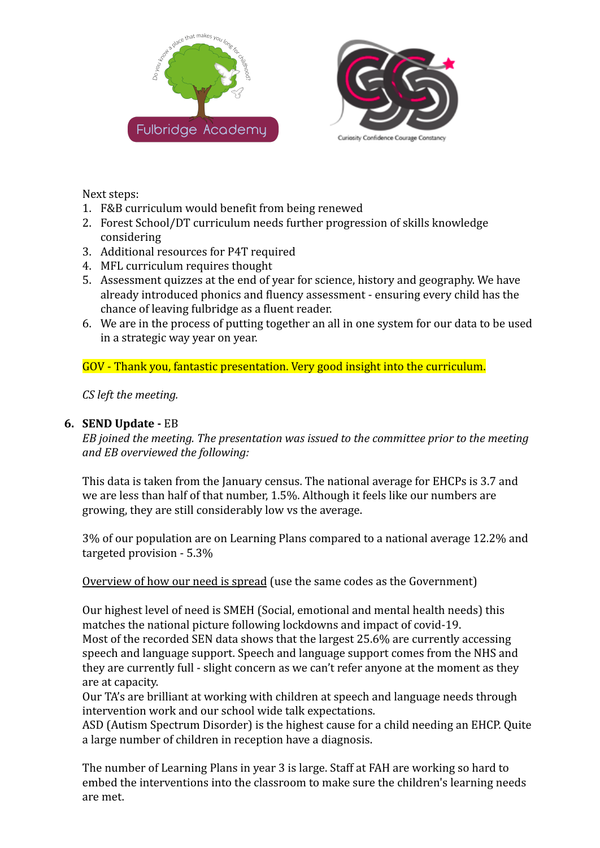



Next steps:

- 1. F&B curriculum would benefit from being renewed
- 2. Forest School/DT curriculum needs further progression of skills knowledge considering
- 3. Additional resources for P4T required
- 4. MFL curriculum requires thought
- 5. Assessment quizzes at the end of year for science, history and geography. We have already introduced phonics and fluency assessment - ensuring every child has the chance of leaving fulbridge as a fluent reader.
- 6. We are in the process of putting together an all in one system for our data to be used in a strategic way year on year.

GOV - Thank you, fantastic presentation. Very good insight into the curriculum.

*CS left the meeting.*

# **6. SEND Update -** EB

*EB joined the meeting. The presentation was issued to the committee prior to the meeting and EB overviewed the following:*

This data is taken from the January census. The national average for EHCPs is 3.7 and we are less than half of that number, 1.5%. Although it feels like our numbers are growing, they are still considerably low vs the average.

3% of our population are on Learning Plans compared to a national average 12.2% and targeted provision - 5.3%

Overview of how our need is spread (use the same codes as the Government)

Our highest level of need is SMEH (Social, emotional and mental health needs) this matches the national picture following lockdowns and impact of covid-19. Most of the recorded SEN data shows that the largest 25.6% are currently accessing speech and language support. Speech and language support comes from the NHS and they are currently full - slight concern as we can't refer anyone at the moment as they are at capacity.

Our TA's are brilliant at working with children at speech and language needs through intervention work and our school wide talk expectations.

ASD (Autism Spectrum Disorder) is the highest cause for a child needing an EHCP. Quite a large number of children in reception have a diagnosis.

The number of Learning Plans in year 3 is large. Staff at FAH are working so hard to embed the interventions into the classroom to make sure the children's learning needs are met.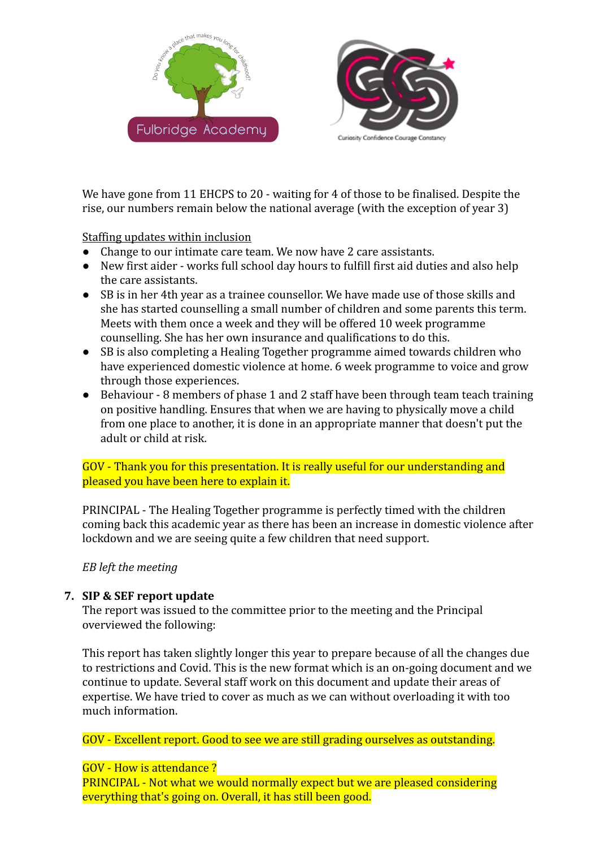



We have gone from 11 EHCPS to 20 - waiting for 4 of those to be finalised. Despite the rise, our numbers remain below the national average (with the exception of year 3)

Staffing updates within inclusion

- Change to our intimate care team. We now have 2 care assistants.
- New first aider works full school day hours to fulfill first aid duties and also help the care assistants.
- SB is in her 4th year as a trainee counsellor. We have made use of those skills and she has started counselling a small number of children and some parents this term. Meets with them once a week and they will be offered 10 week programme counselling. She has her own insurance and qualifications to do this.
- SB is also completing a Healing Together programme aimed towards children who have experienced domestic violence at home. 6 week programme to voice and grow through those experiences.
- Behaviour 8 members of phase 1 and 2 staff have been through team teach training on positive handling. Ensures that when we are having to physically move a child from one place to another, it is done in an appropriate manner that doesn't put the adult or child at risk.

# GOV - Thank you for this presentation. It is really useful for our understanding and pleased you have been here to explain it.

PRINCIPAL - The Healing Together programme is perfectly timed with the children coming back this academic year as there has been an increase in domestic violence after lockdown and we are seeing quite a few children that need support.

*EB left the meeting*

# **7. SIP & SEF report update**

The report was issued to the committee prior to the meeting and the Principal overviewed the following:

This report has taken slightly longer this year to prepare because of all the changes due to restrictions and Covid. This is the new format which is an on-going document and we continue to update. Several staff work on this document and update their areas of expertise. We have tried to cover as much as we can without overloading it with too much information.

GOV - Excellent report. Good to see we are still grading ourselves as outstanding.

# GOV - How is attendance ?

PRINCIPAL - Not what we would normally expect but we are pleased considering everything that's going on. Overall, it has still been good.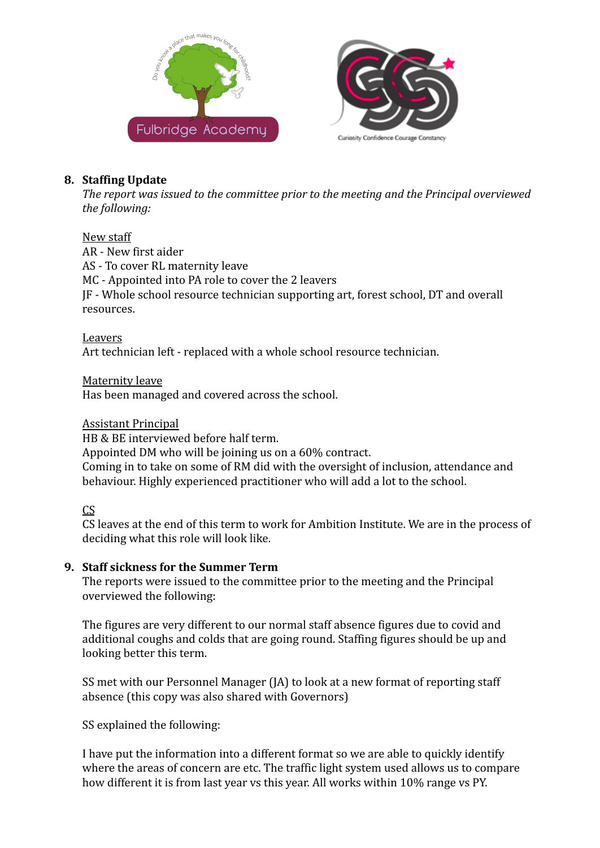



## **8. Staffing Update**

*The report was issued to the committee prior to the meeting and the Principal overviewed the following:*

## New staff

AR - New first aider AS - To cover RL maternity leave MC - Appointed into PA role to cover the 2 leavers JF - Whole school resource technician supporting art, forest school, DT and overall resources.

## Leavers

Art technician left - replaced with a whole school resource technician.

Maternity leave Has been managed and covered across the school.

## Assistant Principal

HB & BE interviewed before half term.

Appointed DM who will be joining us on a 60% contract.

Coming in to take on some of RM did with the oversight of inclusion, attendance and behaviour. Highly experienced practitioner who will add a lot to the school.

# CS

CS leaves at the end of this term to work for Ambition Institute. We are in the process of deciding what this role will look like.

## **9. Staff sickness for the Summer Term**

The reports were issued to the committee prior to the meeting and the Principal overviewed the following:

The figures are very different to our normal staff absence figures due to covid and additional coughs and colds that are going round. Staffing figures should be up and looking better this term.

SS met with our Personnel Manager (JA) to look at a new format of reporting staff absence (this copy was also shared with Governors)

SS explained the following:

I have put the information into a different format so we are able to quickly identify where the areas of concern are etc. The traffic light system used allows us to compare how different it is from last year vs this year. All works within 10% range vs PY.